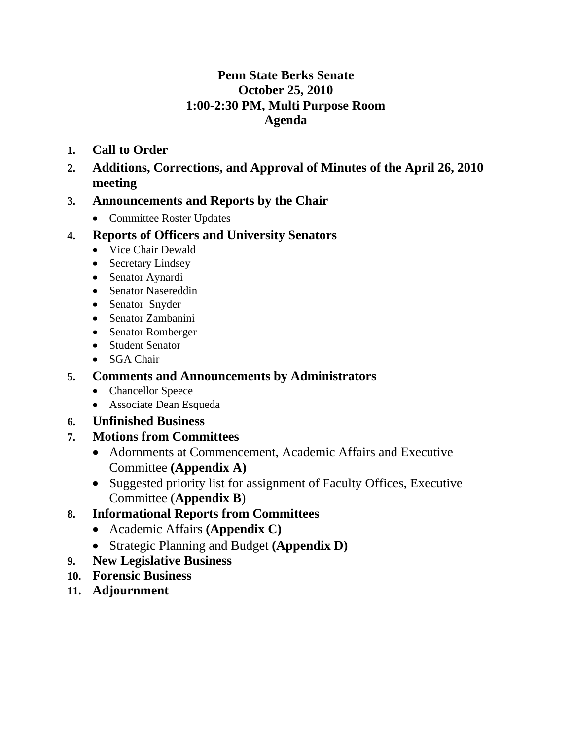## **Penn State Berks Senate October 25, 2010 1:00-2:30 PM, Multi Purpose Room Agenda**

- **1. Call to Order**
- **2. Additions, Corrections, and Approval of Minutes of the April 26, 2010 meeting**

## **3. Announcements and Reports by the Chair**

• Committee Roster Updates

## **4. Reports of Officers and University Senators**

- Vice Chair Dewald
- Secretary Lindsey
- Senator Aynardi
- Senator Nasereddin
- Senator Snyder
- Senator Zambanini
- Senator Romberger
- Student Senator
- SGA Chair

## **5. Comments and Announcements by Administrators**

- Chancellor Speece
- Associate Dean Esqueda

### **6. Unfinished Business**

### **7. Motions from Committees**

- Adornments at Commencement, Academic Affairs and Executive Committee **(Appendix A)**
- Suggested priority list for assignment of Faculty Offices, Executive Committee (**Appendix B**)

## **8. Informational Reports from Committees**

- Academic Affairs **(Appendix C)**
- Strategic Planning and Budget **(Appendix D)**
- **9. New Legislative Business**
- **10. Forensic Business**
- **11. Adjournment**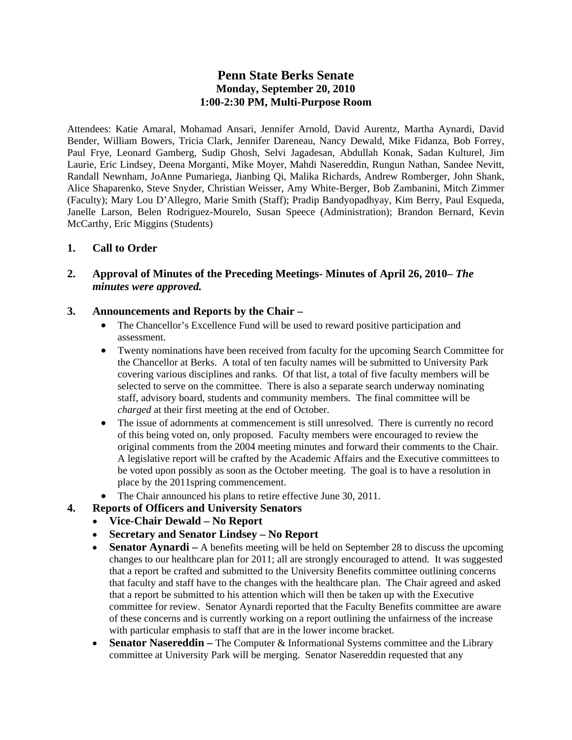#### **Penn State Berks Senate Monday, September 20, 2010 1:00-2:30 PM, Multi-Purpose Room**

Attendees: Katie Amaral, Mohamad Ansari, Jennifer Arnold, David Aurentz, Martha Aynardi, David Bender, William Bowers, Tricia Clark, Jennifer Dareneau, Nancy Dewald, Mike Fidanza, Bob Forrey, Paul Frye, Leonard Gamberg, Sudip Ghosh, Selvi Jagadesan, Abdullah Konak, Sadan Kulturel, Jim Laurie, Eric Lindsey, Deena Morganti, Mike Moyer, Mahdi Nasereddin, Rungun Nathan, Sandee Nevitt, Randall Newnham, JoAnne Pumariega, Jianbing Qi, Malika Richards, Andrew Romberger, John Shank, Alice Shaparenko, Steve Snyder, Christian Weisser, Amy White-Berger, Bob Zambanini, Mitch Zimmer (Faculty); Mary Lou D'Allegro, Marie Smith (Staff); Pradip Bandyopadhyay, Kim Berry, Paul Esqueda, Janelle Larson, Belen Rodriguez-Mourelo, Susan Speece (Administration); Brandon Bernard, Kevin McCarthy, Eric Miggins (Students)

#### **1. Call to Order**

#### **2. Approval of Minutes of the Preceding Meetings- Minutes of April 26, 2010–** *The minutes were approved.*

#### **3. Announcements and Reports by the Chair –**

- The Chancellor's Excellence Fund will be used to reward positive participation and assessment.
- Twenty nominations have been received from faculty for the upcoming Search Committee for the Chancellor at Berks. A total of ten faculty names will be submitted to University Park covering various disciplines and ranks. Of that list, a total of five faculty members will be selected to serve on the committee. There is also a separate search underway nominating staff, advisory board, students and community members. The final committee will be *charged* at their first meeting at the end of October.
- The issue of adornments at commencement is still unresolved. There is currently no record of this being voted on, only proposed. Faculty members were encouraged to review the original comments from the 2004 meeting minutes and forward their comments to the Chair. A legislative report will be crafted by the Academic Affairs and the Executive committees to be voted upon possibly as soon as the October meeting. The goal is to have a resolution in place by the 2011spring commencement.
- The Chair announced his plans to retire effective June 30, 2011.
- **4. Reports of Officers and University Senators** 
	- **Vice-Chair Dewald No Report**
	- **Secretary and Senator Lindsey No Report**
	- **Senator Aynardi** A benefits meeting will be held on September 28 to discuss the upcoming changes to our healthcare plan for 2011; all are strongly encouraged to attend. It was suggested that a report be crafted and submitted to the University Benefits committee outlining concerns that faculty and staff have to the changes with the healthcare plan. The Chair agreed and asked that a report be submitted to his attention which will then be taken up with the Executive committee for review. Senator Aynardi reported that the Faculty Benefits committee are aware of these concerns and is currently working on a report outlining the unfairness of the increase with particular emphasis to staff that are in the lower income bracket.
	- **Senator Nasereddin** The Computer & Informational Systems committee and the Library committee at University Park will be merging. Senator Nasereddin requested that any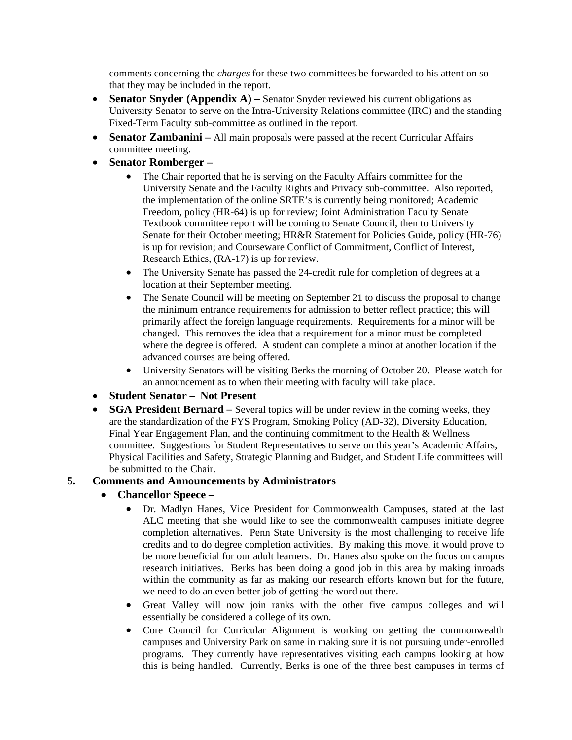comments concerning the *charges* for these two committees be forwarded to his attention so that they may be included in the report.

- **Senator Snyder (Appendix A)** Senator Snyder reviewed his current obligations as University Senator to serve on the Intra-University Relations committee (IRC) and the standing Fixed-Term Faculty sub-committee as outlined in the report.
- **Senator Zambanini** All main proposals were passed at the recent Curricular Affairs committee meeting.
- **Senator Romberger –**
	- The Chair reported that he is serving on the Faculty Affairs committee for the University Senate and the Faculty Rights and Privacy sub-committee. Also reported, the implementation of the online SRTE's is currently being monitored; Academic Freedom, policy (HR-64) is up for review; Joint Administration Faculty Senate Textbook committee report will be coming to Senate Council, then to University Senate for their October meeting; HR&R Statement for Policies Guide, policy (HR-76) is up for revision; and Courseware Conflict of Commitment, Conflict of Interest, Research Ethics, (RA-17) is up for review.
	- The University Senate has passed the 24-credit rule for completion of degrees at a location at their September meeting.
	- The Senate Council will be meeting on September 21 to discuss the proposal to change the minimum entrance requirements for admission to better reflect practice; this will primarily affect the foreign language requirements. Requirements for a minor will be changed. This removes the idea that a requirement for a minor must be completed where the degree is offered. A student can complete a minor at another location if the advanced courses are being offered.
	- University Senators will be visiting Berks the morning of October 20. Please watch for an announcement as to when their meeting with faculty will take place.
- **Student Senator – Not Present**
- **SGA President Bernard** Several topics will be under review in the coming weeks, they are the standardization of the FYS Program, Smoking Policy (AD-32), Diversity Education, Final Year Engagement Plan, and the continuing commitment to the Health & Wellness committee. Suggestions for Student Representatives to serve on this year's Academic Affairs, Physical Facilities and Safety, Strategic Planning and Budget, and Student Life committees will be submitted to the Chair.

#### **5. Comments and Announcements by Administrators**

- **Chancellor Speece** 
	- Dr. Madlyn Hanes, Vice President for Commonwealth Campuses, stated at the last ALC meeting that she would like to see the commonwealth campuses initiate degree completion alternatives. Penn State University is the most challenging to receive life credits and to do degree completion activities. By making this move, it would prove to be more beneficial for our adult learners. Dr. Hanes also spoke on the focus on campus research initiatives. Berks has been doing a good job in this area by making inroads within the community as far as making our research efforts known but for the future, we need to do an even better job of getting the word out there.
	- Great Valley will now join ranks with the other five campus colleges and will essentially be considered a college of its own.
	- Core Council for Curricular Alignment is working on getting the commonwealth campuses and University Park on same in making sure it is not pursuing under-enrolled programs. They currently have representatives visiting each campus looking at how this is being handled. Currently, Berks is one of the three best campuses in terms of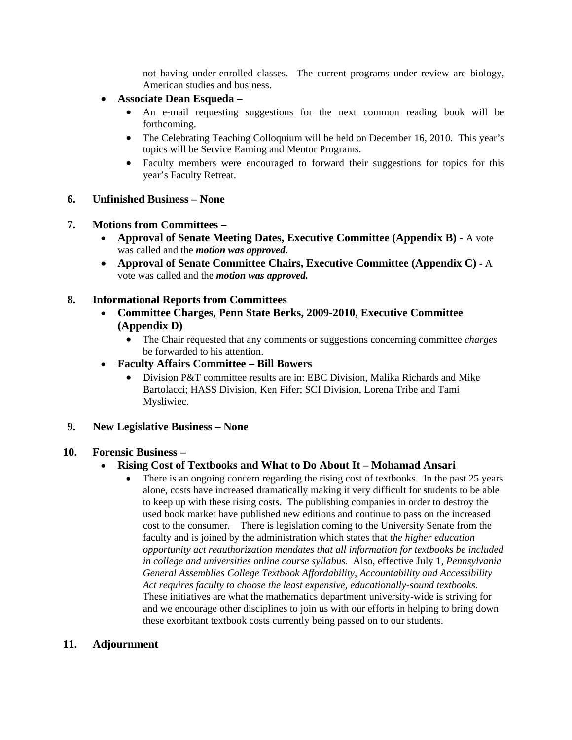not having under-enrolled classes. The current programs under review are biology, American studies and business.

- **Associate Dean Esqueda** 
	- An e-mail requesting suggestions for the next common reading book will be forthcoming.
	- The Celebrating Teaching Colloquium will be held on December 16, 2010. This year's topics will be Service Earning and Mentor Programs.
	- Faculty members were encouraged to forward their suggestions for topics for this year's Faculty Retreat.
- **6. Unfinished Business None**
- **7. Motions from Committees** 
	- **Approval of Senate Meeting Dates, Executive Committee (Appendix B)** A vote was called and the *motion was approved.*
	- **Approval of Senate Committee Chairs, Executive Committee (Appendix C)** A vote was called and the *motion was approved.*

#### **8. Informational Reports from Committees**

- **Committee Charges, Penn State Berks, 2009-2010, Executive Committee (Appendix D)** 
	- The Chair requested that any comments or suggestions concerning committee *charges* be forwarded to his attention.
- **Faculty Affairs Committee Bill Bowers**
	- Division P&T committee results are in: EBC Division, Malika Richards and Mike Bartolacci; HASS Division, Ken Fifer; SCI Division, Lorena Tribe and Tami Mysliwiec.
- **9. New Legislative Business None**

#### **10. Forensic Business –**

#### **Rising Cost of Textbooks and What to Do About It – Mohamad Ansari**

 There is an ongoing concern regarding the rising cost of textbooks. In the past 25 years alone, costs have increased dramatically making it very difficult for students to be able to keep up with these rising costs. The publishing companies in order to destroy the used book market have published new editions and continue to pass on the increased cost to the consumer. There is legislation coming to the University Senate from the faculty and is joined by the administration which states that *the higher education opportunity act reauthorization mandates that all information for textbooks be included in college and universities online course syllabus.* Also, effective July 1, *Pennsylvania General Assemblies College Textbook Affordability, Accountability and Accessibility Act requires faculty to choose the least expensive, educationally-sound textbooks.* These initiatives are what the mathematics department university-wide is striving for and we encourage other disciplines to join us with our efforts in helping to bring down these exorbitant textbook costs currently being passed on to our students.

#### **11. Adjournment**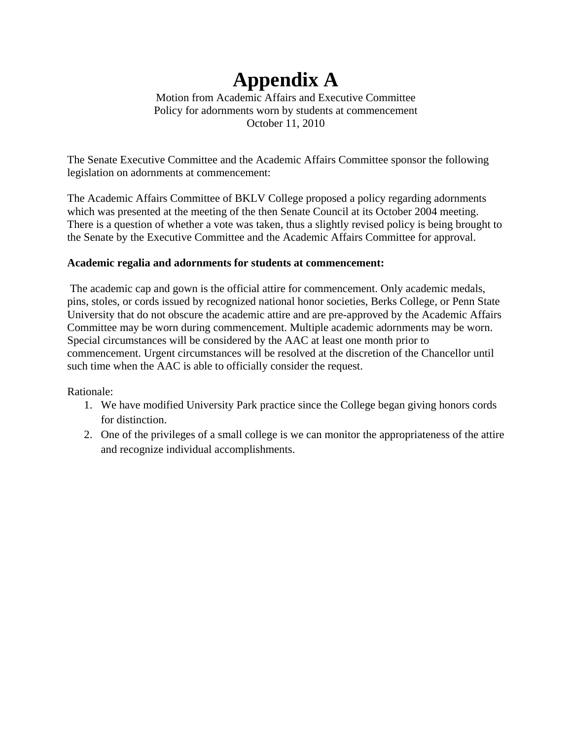# **Appendix A**

Motion from Academic Affairs and Executive Committee Policy for adornments worn by students at commencement October 11, 2010

The Senate Executive Committee and the Academic Affairs Committee sponsor the following legislation on adornments at commencement:

The Academic Affairs Committee of BKLV College proposed a policy regarding adornments which was presented at the meeting of the then Senate Council at its October 2004 meeting. There is a question of whether a vote was taken, thus a slightly revised policy is being brought to the Senate by the Executive Committee and the Academic Affairs Committee for approval.

#### **Academic regalia and adornments for students at commencement:**

 The academic cap and gown is the official attire for commencement. Only academic medals, pins, stoles, or cords issued by recognized national honor societies, Berks College, or Penn State University that do not obscure the academic attire and are pre-approved by the Academic Affairs Committee may be worn during commencement. Multiple academic adornments may be worn. Special circumstances will be considered by the AAC at least one month prior to commencement. Urgent circumstances will be resolved at the discretion of the Chancellor until such time when the AAC is able to officially consider the request.

Rationale:

- 1. We have modified University Park practice since the College began giving honors cords for distinction.
- 2. One of the privileges of a small college is we can monitor the appropriateness of the attire and recognize individual accomplishments.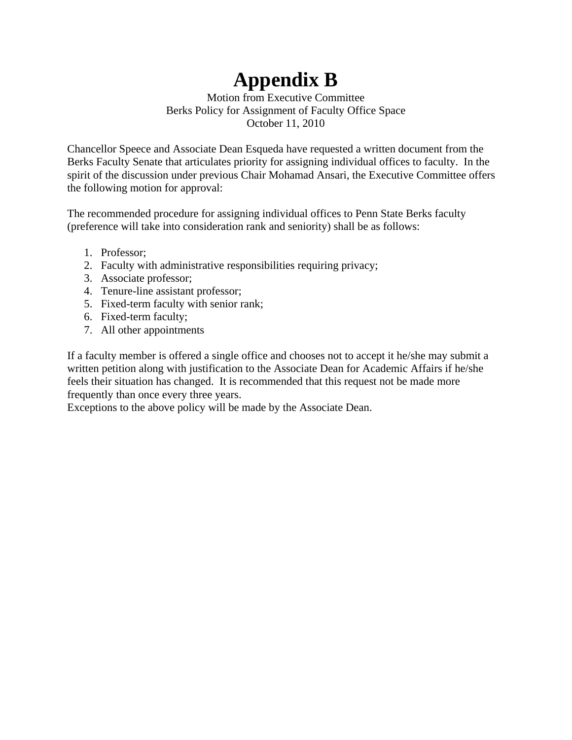# **Appendix B**

Motion from Executive Committee Berks Policy for Assignment of Faculty Office Space October 11, 2010

Chancellor Speece and Associate Dean Esqueda have requested a written document from the Berks Faculty Senate that articulates priority for assigning individual offices to faculty. In the spirit of the discussion under previous Chair Mohamad Ansari, the Executive Committee offers the following motion for approval:

The recommended procedure for assigning individual offices to Penn State Berks faculty (preference will take into consideration rank and seniority) shall be as follows:

- 1. Professor;
- 2. Faculty with administrative responsibilities requiring privacy;
- 3. Associate professor;
- 4. Tenure-line assistant professor;
- 5. Fixed-term faculty with senior rank;
- 6. Fixed-term faculty;
- 7. All other appointments

If a faculty member is offered a single office and chooses not to accept it he/she may submit a written petition along with justification to the Associate Dean for Academic Affairs if he/she feels their situation has changed. It is recommended that this request not be made more frequently than once every three years.

Exceptions to the above policy will be made by the Associate Dean.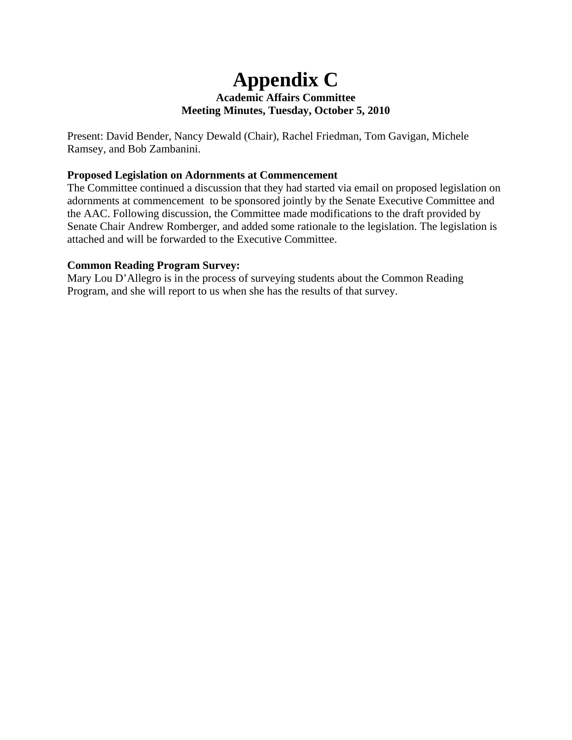## **Appendix C Academic Affairs Committee Meeting Minutes, Tuesday, October 5, 2010**

Present: David Bender, Nancy Dewald (Chair), Rachel Friedman, Tom Gavigan, Michele Ramsey, and Bob Zambanini.

#### **Proposed Legislation on Adornments at Commencement**

The Committee continued a discussion that they had started via email on proposed legislation on adornments at commencement to be sponsored jointly by the Senate Executive Committee and the AAC. Following discussion, the Committee made modifications to the draft provided by Senate Chair Andrew Romberger, and added some rationale to the legislation. The legislation is attached and will be forwarded to the Executive Committee.

#### **Common Reading Program Survey:**

Mary Lou D'Allegro is in the process of surveying students about the Common Reading Program, and she will report to us when she has the results of that survey.